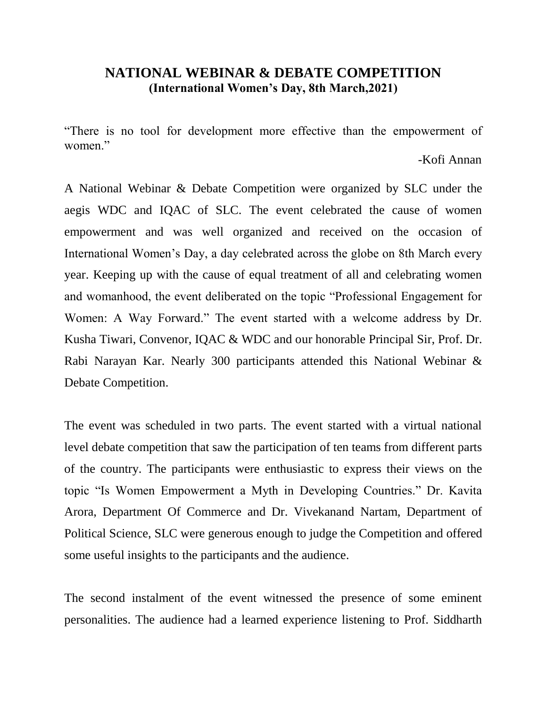## **NATIONAL WEBINAR & DEBATE COMPETITION (International Women's Day, 8th March,2021)**

"There is no tool for development more effective than the empowerment of women<sup>"</sup>

### -Kofi Annan

A National Webinar & Debate Competition were organized by SLC under the aegis WDC and IQAC of SLC. The event celebrated the cause of women empowerment and was well organized and received on the occasion of International Women's Day, a day celebrated across the globe on 8th March every year. Keeping up with the cause of equal treatment of all and celebrating women and womanhood, the event deliberated on the topic "Professional Engagement for Women: A Way Forward." The event started with a welcome address by Dr. Kusha Tiwari, Convenor, IQAC & WDC and our honorable Principal Sir, Prof. Dr. Rabi Narayan Kar. Nearly 300 participants attended this National Webinar & Debate Competition.

The event was scheduled in two parts. The event started with a virtual national level debate competition that saw the participation of ten teams from different parts of the country. The participants were enthusiastic to express their views on the topic "Is Women Empowerment a Myth in Developing Countries." Dr. Kavita Arora, Department Of Commerce and Dr. Vivekanand Nartam, Department of Political Science, SLC were generous enough to judge the Competition and offered some useful insights to the participants and the audience.

The second instalment of the event witnessed the presence of some eminent personalities. The audience had a learned experience listening to Prof. Siddharth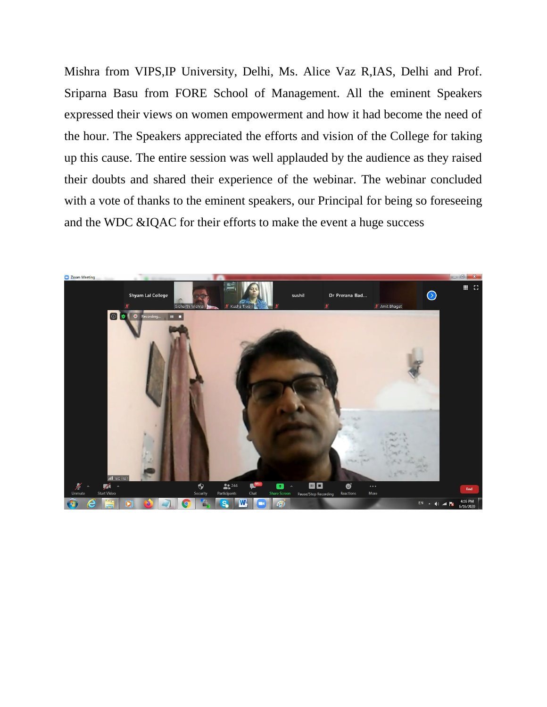Mishra from VIPS,IP University, Delhi, Ms. Alice Vaz R,IAS, Delhi and Prof. Sriparna Basu from FORE School of Management. All the eminent Speakers expressed their views on women empowerment and how it had become the need of the hour. The Speakers appreciated the efforts and vision of the College for taking up this cause. The entire session was well applauded by the audience as they raised their doubts and shared their experience of the webinar. The webinar concluded with a vote of thanks to the eminent speakers, our Principal for being so foreseeing and the WDC &IQAC for their efforts to make the event a huge success

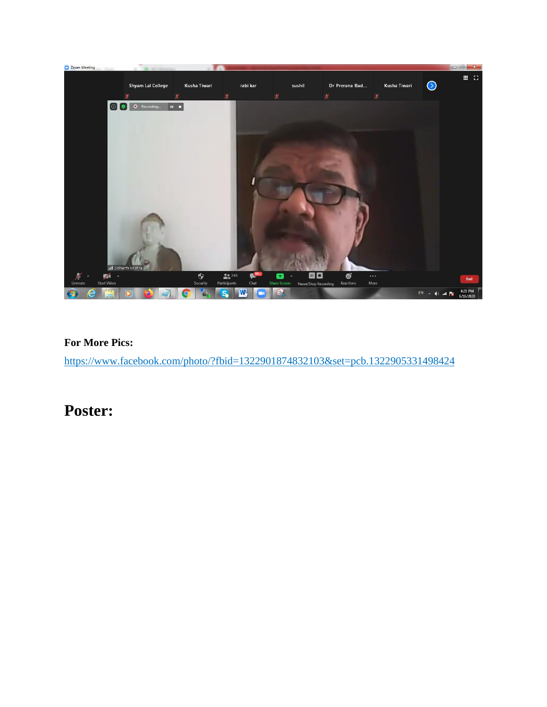

### **For More Pics:**

<https://www.facebook.com/photo/?fbid=1322901874832103&set=pcb.1322905331498424>

## **Poster:**